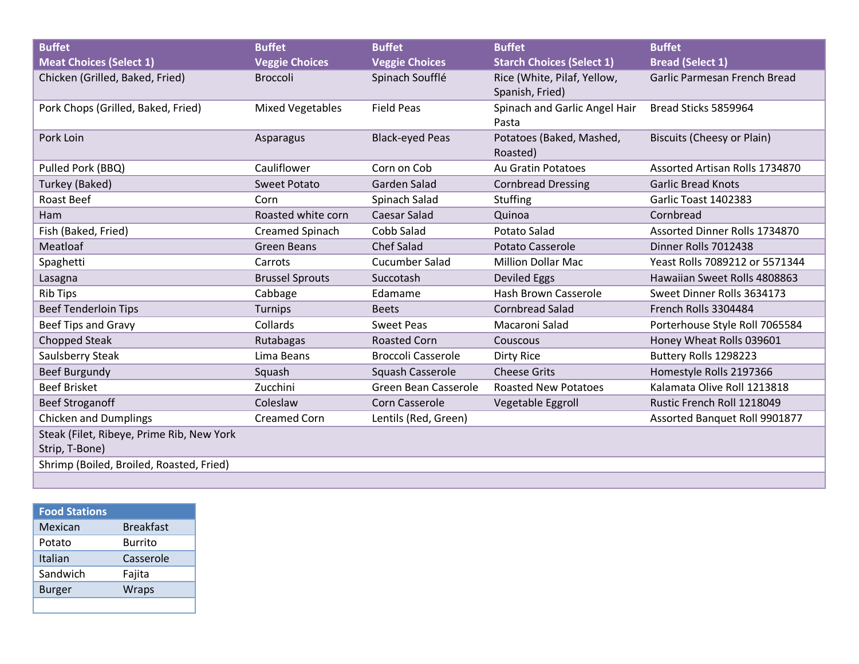| <b>Buffet</b>                                               | <b>Buffet</b>           | <b>Buffet</b>             | <b>Buffet</b>                                  | <b>Buffet</b>                     |
|-------------------------------------------------------------|-------------------------|---------------------------|------------------------------------------------|-----------------------------------|
| <b>Meat Choices (Select 1)</b>                              | <b>Veggie Choices</b>   | <b>Veggie Choices</b>     | <b>Starch Choices (Select 1)</b>               | <b>Bread (Select 1)</b>           |
| Chicken (Grilled, Baked, Fried)                             | <b>Broccoli</b>         | Spinach Soufflé           | Rice (White, Pilaf, Yellow,<br>Spanish, Fried) | Garlic Parmesan French Bread      |
| Pork Chops (Grilled, Baked, Fried)                          | <b>Mixed Vegetables</b> | <b>Field Peas</b>         | Spinach and Garlic Angel Hair<br>Pasta         | Bread Sticks 5859964              |
| Pork Loin                                                   | Asparagus               | <b>Black-eyed Peas</b>    | Potatoes (Baked, Mashed,<br>Roasted)           | <b>Biscuits (Cheesy or Plain)</b> |
| Pulled Pork (BBQ)                                           | Cauliflower             | Corn on Cob               | <b>Au Gratin Potatoes</b>                      | Assorted Artisan Rolls 1734870    |
| Turkey (Baked)                                              | <b>Sweet Potato</b>     | Garden Salad              | <b>Cornbread Dressing</b>                      | <b>Garlic Bread Knots</b>         |
| Roast Beef                                                  | Corn                    | Spinach Salad             | Stuffing                                       | Garlic Toast 1402383              |
| Ham                                                         | Roasted white corn      | Caesar Salad              | Quinoa                                         | Cornbread                         |
| Fish (Baked, Fried)                                         | <b>Creamed Spinach</b>  | Cobb Salad                | <b>Potato Salad</b>                            | Assorted Dinner Rolls 1734870     |
| Meatloaf                                                    | <b>Green Beans</b>      | <b>Chef Salad</b>         | <b>Potato Casserole</b>                        | Dinner Rolls 7012438              |
| Spaghetti                                                   | Carrots                 | <b>Cucumber Salad</b>     | <b>Million Dollar Mac</b>                      | Yeast Rolls 7089212 or 5571344    |
| Lasagna                                                     | <b>Brussel Sprouts</b>  | Succotash                 | Deviled Eggs                                   | Hawaiian Sweet Rolls 4808863      |
| <b>Rib Tips</b>                                             | Cabbage                 | Edamame                   | <b>Hash Brown Casserole</b>                    | Sweet Dinner Rolls 3634173        |
| <b>Beef Tenderloin Tips</b>                                 | Turnips                 | <b>Beets</b>              | <b>Cornbread Salad</b>                         | French Rolls 3304484              |
| Beef Tips and Gravy                                         | Collards                | <b>Sweet Peas</b>         | Macaroni Salad                                 | Porterhouse Style Roll 7065584    |
| <b>Chopped Steak</b>                                        | Rutabagas               | <b>Roasted Corn</b>       | Couscous                                       | Honey Wheat Rolls 039601          |
| Saulsberry Steak                                            | Lima Beans              | <b>Broccoli Casserole</b> | <b>Dirty Rice</b>                              | Buttery Rolls 1298223             |
| <b>Beef Burgundy</b>                                        | Squash                  | Squash Casserole          | <b>Cheese Grits</b>                            | Homestyle Rolls 2197366           |
| <b>Beef Brisket</b>                                         | Zucchini                | Green Bean Casserole      | <b>Roasted New Potatoes</b>                    | Kalamata Olive Roll 1213818       |
| <b>Beef Stroganoff</b>                                      | Coleslaw                | <b>Corn Casserole</b>     | Vegetable Eggroll                              | Rustic French Roll 1218049        |
| <b>Chicken and Dumplings</b>                                | <b>Creamed Corn</b>     | Lentils (Red, Green)      |                                                | Assorted Banquet Roll 9901877     |
| Steak (Filet, Ribeye, Prime Rib, New York<br>Strip, T-Bone) |                         |                           |                                                |                                   |
| Shrimp (Boiled, Broiled, Roasted, Fried)                    |                         |                           |                                                |                                   |
|                                                             |                         |                           |                                                |                                   |

| <b>Food Stations</b> |                  |
|----------------------|------------------|
| Mexican              | <b>Breakfast</b> |
| Potato               | Burrito          |
| Italian              | Casserole        |
| Sandwich             | Fajita           |
| Burger               | <b>Wraps</b>     |
|                      |                  |